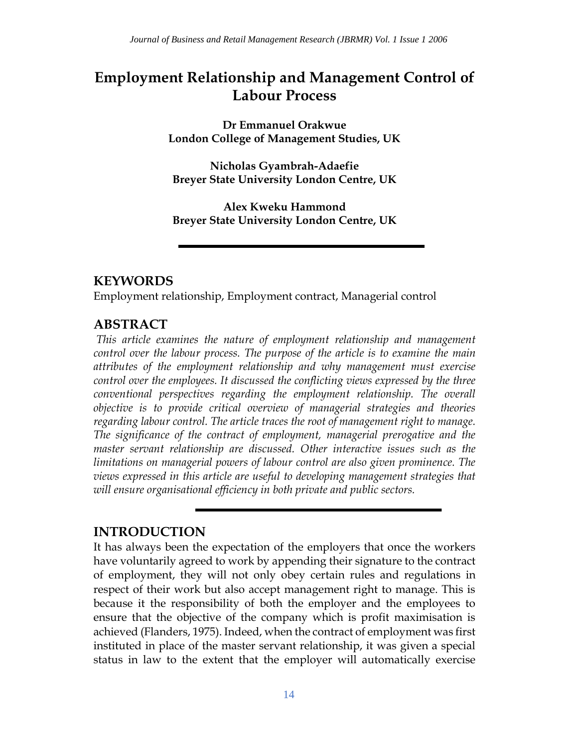# **Employment Relationship and Management Control of Labour Process**

**Dr Emmanuel Orakwue London College of Management Studies, UK** 

**Nicholas Gyambrah-Adaefie Breyer State University London Centre, UK**

**Alex Kweku Hammond Breyer State University London Centre, UK**

### **KEYWORDS**

Employment relationship, Employment contract, Managerial control

## **ABSTRACT**

*This article examines the nature of employment relationship and management control over the labour process. The purpose of the article is to examine the main attributes of the employment relationship and why management must exercise control over the employees. It discussed the conflicting views expressed by the three conventional perspectives regarding the employment relationship. The overall objective is to provide critical overview of managerial strategies and theories regarding labour control. The article traces the root of management right to manage. The significance of the contract of employment, managerial prerogative and the master servant relationship are discussed. Other interactive issues such as the limitations on managerial powers of labour control are also given prominence. The views expressed in this article are useful to developing management strategies that will ensure organisational efficiency in both private and public sectors.*

## **INTRODUCTION**

It has always been the expectation of the employers that once the workers have voluntarily agreed to work by appending their signature to the contract of employment, they will not only obey certain rules and regulations in respect of their work but also accept management right to manage. This is because it the responsibility of both the employer and the employees to ensure that the objective of the company which is profit maximisation is achieved (Flanders, 1975). Indeed, when the contract of employment was first instituted in place of the master servant relationship, it was given a special status in law to the extent that the employer will automatically exercise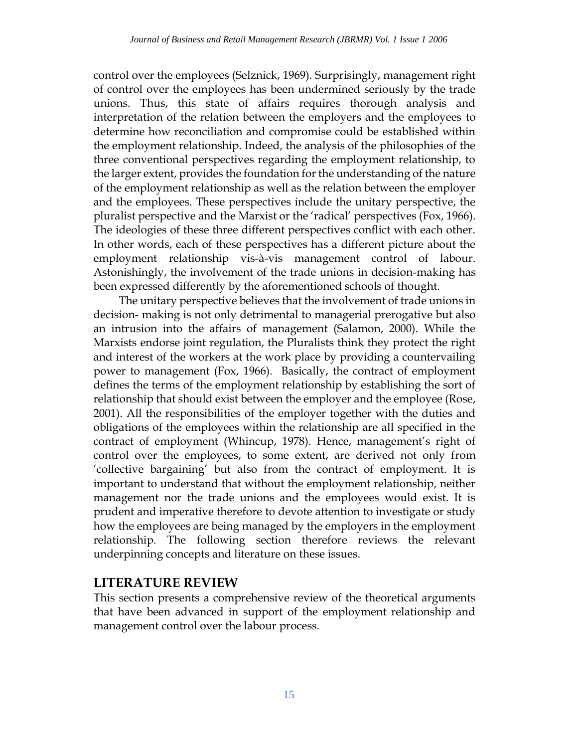control over the employees (Selznick, 1969). Surprisingly, management right of control over the employees has been undermined seriously by the trade unions. Thus, this state of affairs requires thorough analysis and interpretation of the relation between the employers and the employees to determine how reconciliation and compromise could be established within the employment relationship. Indeed, the analysis of the philosophies of the three conventional perspectives regarding the employment relationship, to the larger extent, provides the foundation for the understanding of the nature of the employment relationship as well as the relation between the employer and the employees. These perspectives include the unitary perspective, the pluralist perspective and the Marxist or the 'radical' perspectives (Fox, 1966). The ideologies of these three different perspectives conflict with each other. In other words, each of these perspectives has a different picture about the employment relationship vis-à-vis management control of labour. Astonishingly, the involvement of the trade unions in decision-making has been expressed differently by the aforementioned schools of thought.

The unitary perspective believes that the involvement of trade unions in decision- making is not only detrimental to managerial prerogative but also an intrusion into the affairs of management (Salamon, 2000). While the Marxists endorse joint regulation, the Pluralists think they protect the right and interest of the workers at the work place by providing a countervailing power to management (Fox, 1966). Basically, the contract of employment defines the terms of the employment relationship by establishing the sort of relationship that should exist between the employer and the employee (Rose, 2001). All the responsibilities of the employer together with the duties and obligations of the employees within the relationship are all specified in the contract of employment (Whincup, 1978). Hence, management's right of control over the employees, to some extent, are derived not only from 'collective bargaining' but also from the contract of employment. It is important to understand that without the employment relationship, neither management nor the trade unions and the employees would exist. It is prudent and imperative therefore to devote attention to investigate or study how the employees are being managed by the employers in the employment relationship. The following section therefore reviews the relevant underpinning concepts and literature on these issues.

## **LITERATURE REVIEW**

This section presents a comprehensive review of the theoretical arguments that have been advanced in support of the employment relationship and management control over the labour process.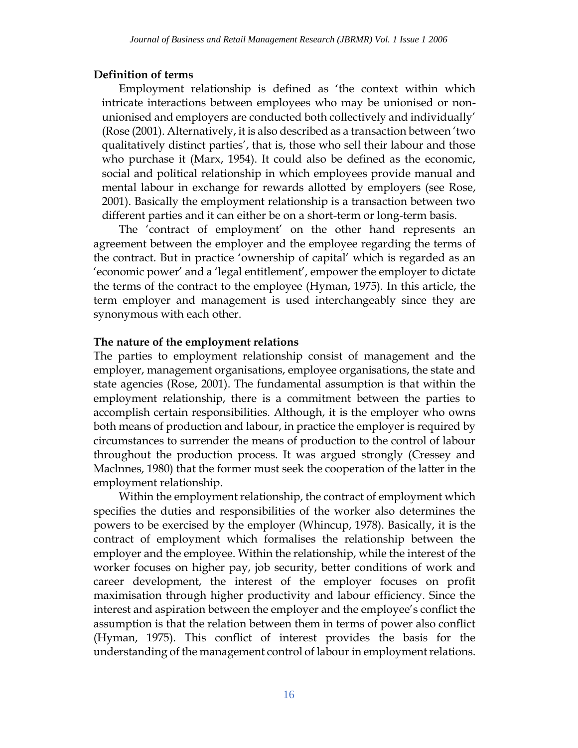#### **Definition of terms**

Employment relationship is defined as 'the context within which intricate interactions between employees who may be unionised or nonunionised and employers are conducted both collectively and individually' (Rose (2001). Alternatively, it is also described as a transaction between 'two qualitatively distinct parties', that is, those who sell their labour and those who purchase it (Marx, 1954). It could also be defined as the economic, social and political relationship in which employees provide manual and mental labour in exchange for rewards allotted by employers (see Rose, 2001). Basically the employment relationship is a transaction between two different parties and it can either be on a short-term or long-term basis.

The 'contract of employment' on the other hand represents an agreement between the employer and the employee regarding the terms of the contract. But in practice 'ownership of capital' which is regarded as an 'economic power' and a 'legal entitlement', empower the employer to dictate the terms of the contract to the employee (Hyman, 1975). In this article, the term employer and management is used interchangeably since they are synonymous with each other.

#### **The nature of the employment relations**

The parties to employment relationship consist of management and the employer, management organisations, employee organisations, the state and state agencies (Rose, 2001). The fundamental assumption is that within the employment relationship, there is a commitment between the parties to accomplish certain responsibilities. Although, it is the employer who owns both means of production and labour, in practice the employer is required by circumstances to surrender the means of production to the control of labour throughout the production process. It was argued strongly (Cressey and Maclnnes, 1980) that the former must seek the cooperation of the latter in the employment relationship.

Within the employment relationship, the contract of employment which specifies the duties and responsibilities of the worker also determines the powers to be exercised by the employer (Whincup, 1978). Basically, it is the contract of employment which formalises the relationship between the employer and the employee. Within the relationship, while the interest of the worker focuses on higher pay, job security, better conditions of work and career development, the interest of the employer focuses on profit maximisation through higher productivity and labour efficiency. Since the interest and aspiration between the employer and the employee's conflict the assumption is that the relation between them in terms of power also conflict (Hyman, 1975). This conflict of interest provides the basis for the understanding of the management control of labour in employment relations.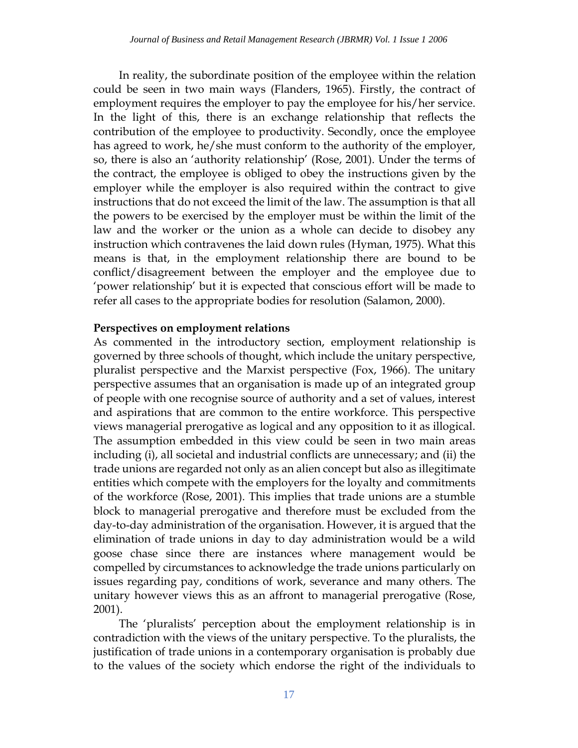In reality, the subordinate position of the employee within the relation could be seen in two main ways (Flanders, 1965). Firstly, the contract of employment requires the employer to pay the employee for his/her service. In the light of this, there is an exchange relationship that reflects the contribution of the employee to productivity. Secondly, once the employee has agreed to work, he/she must conform to the authority of the employer, so, there is also an 'authority relationship' (Rose, 2001). Under the terms of the contract, the employee is obliged to obey the instructions given by the employer while the employer is also required within the contract to give instructions that do not exceed the limit of the law. The assumption is that all the powers to be exercised by the employer must be within the limit of the law and the worker or the union as a whole can decide to disobey any instruction which contravenes the laid down rules (Hyman, 1975). What this means is that, in the employment relationship there are bound to be conflict/disagreement between the employer and the employee due to 'power relationship' but it is expected that conscious effort will be made to refer all cases to the appropriate bodies for resolution (Salamon, 2000).

#### **Perspectives on employment relations**

As commented in the introductory section, employment relationship is governed by three schools of thought, which include the unitary perspective, pluralist perspective and the Marxist perspective (Fox, 1966). The unitary perspective assumes that an organisation is made up of an integrated group of people with one recognise source of authority and a set of values, interest and aspirations that are common to the entire workforce. This perspective views managerial prerogative as logical and any opposition to it as illogical. The assumption embedded in this view could be seen in two main areas including (i), all societal and industrial conflicts are unnecessary; and (ii) the trade unions are regarded not only as an alien concept but also as illegitimate entities which compete with the employers for the loyalty and commitments of the workforce (Rose, 2001). This implies that trade unions are a stumble block to managerial prerogative and therefore must be excluded from the day-to-day administration of the organisation. However, it is argued that the elimination of trade unions in day to day administration would be a wild goose chase since there are instances where management would be compelled by circumstances to acknowledge the trade unions particularly on issues regarding pay, conditions of work, severance and many others. The unitary however views this as an affront to managerial prerogative (Rose, 2001).

The 'pluralists' perception about the employment relationship is in contradiction with the views of the unitary perspective. To the pluralists, the justification of trade unions in a contemporary organisation is probably due to the values of the society which endorse the right of the individuals to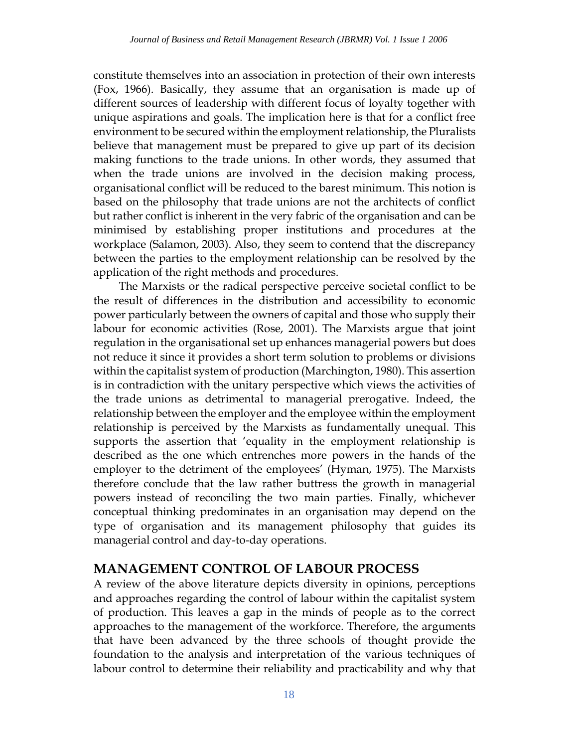constitute themselves into an association in protection of their own interests (Fox, 1966). Basically, they assume that an organisation is made up of different sources of leadership with different focus of loyalty together with unique aspirations and goals. The implication here is that for a conflict free environment to be secured within the employment relationship, the Pluralists believe that management must be prepared to give up part of its decision making functions to the trade unions. In other words, they assumed that when the trade unions are involved in the decision making process, organisational conflict will be reduced to the barest minimum. This notion is based on the philosophy that trade unions are not the architects of conflict but rather conflict is inherent in the very fabric of the organisation and can be minimised by establishing proper institutions and procedures at the workplace (Salamon, 2003). Also, they seem to contend that the discrepancy between the parties to the employment relationship can be resolved by the application of the right methods and procedures.

The Marxists or the radical perspective perceive societal conflict to be the result of differences in the distribution and accessibility to economic power particularly between the owners of capital and those who supply their labour for economic activities (Rose, 2001). The Marxists argue that joint regulation in the organisational set up enhances managerial powers but does not reduce it since it provides a short term solution to problems or divisions within the capitalist system of production (Marchington, 1980). This assertion is in contradiction with the unitary perspective which views the activities of the trade unions as detrimental to managerial prerogative. Indeed, the relationship between the employer and the employee within the employment relationship is perceived by the Marxists as fundamentally unequal. This supports the assertion that 'equality in the employment relationship is described as the one which entrenches more powers in the hands of the employer to the detriment of the employees' (Hyman, 1975). The Marxists therefore conclude that the law rather buttress the growth in managerial powers instead of reconciling the two main parties. Finally, whichever conceptual thinking predominates in an organisation may depend on the type of organisation and its management philosophy that guides its managerial control and day-to-day operations.

### **MANAGEMENT CONTROL OF LABOUR PROCESS**

A review of the above literature depicts diversity in opinions, perceptions and approaches regarding the control of labour within the capitalist system of production. This leaves a gap in the minds of people as to the correct approaches to the management of the workforce. Therefore, the arguments that have been advanced by the three schools of thought provide the foundation to the analysis and interpretation of the various techniques of labour control to determine their reliability and practicability and why that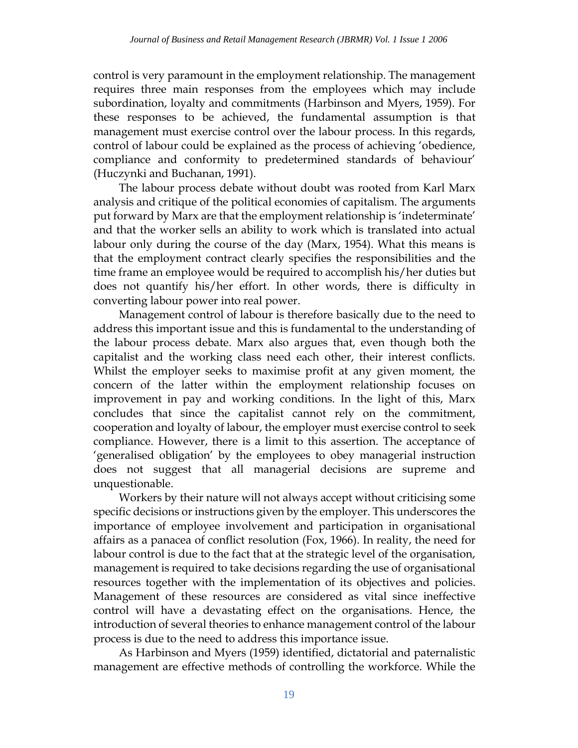control is very paramount in the employment relationship. The management requires three main responses from the employees which may include subordination, loyalty and commitments (Harbinson and Myers, 1959). For these responses to be achieved, the fundamental assumption is that management must exercise control over the labour process. In this regards, control of labour could be explained as the process of achieving 'obedience, compliance and conformity to predetermined standards of behaviour' (Huczynki and Buchanan, 1991).

The labour process debate without doubt was rooted from Karl Marx analysis and critique of the political economies of capitalism. The arguments put forward by Marx are that the employment relationship is 'indeterminate' and that the worker sells an ability to work which is translated into actual labour only during the course of the day (Marx, 1954). What this means is that the employment contract clearly specifies the responsibilities and the time frame an employee would be required to accomplish his/her duties but does not quantify his/her effort. In other words, there is difficulty in converting labour power into real power.

Management control of labour is therefore basically due to the need to address this important issue and this is fundamental to the understanding of the labour process debate. Marx also argues that, even though both the capitalist and the working class need each other, their interest conflicts. Whilst the employer seeks to maximise profit at any given moment, the concern of the latter within the employment relationship focuses on improvement in pay and working conditions. In the light of this, Marx concludes that since the capitalist cannot rely on the commitment, cooperation and loyalty of labour, the employer must exercise control to seek compliance. However, there is a limit to this assertion. The acceptance of 'generalised obligation' by the employees to obey managerial instruction does not suggest that all managerial decisions are supreme and unquestionable.

Workers by their nature will not always accept without criticising some specific decisions or instructions given by the employer. This underscores the importance of employee involvement and participation in organisational affairs as a panacea of conflict resolution (Fox, 1966). In reality, the need for labour control is due to the fact that at the strategic level of the organisation, management is required to take decisions regarding the use of organisational resources together with the implementation of its objectives and policies. Management of these resources are considered as vital since ineffective control will have a devastating effect on the organisations. Hence, the introduction of several theories to enhance management control of the labour process is due to the need to address this importance issue.

As Harbinson and Myers (1959) identified, dictatorial and paternalistic management are effective methods of controlling the workforce. While the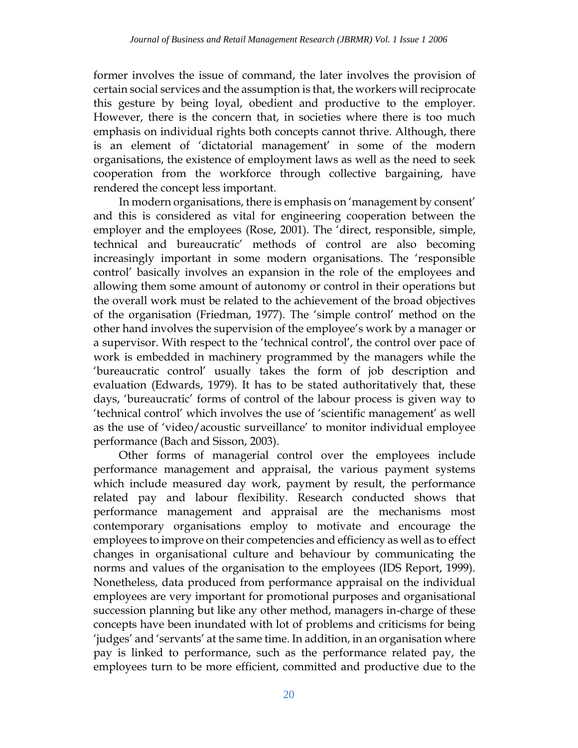former involves the issue of command, the later involves the provision of certain social services and the assumption is that, the workers will reciprocate this gesture by being loyal, obedient and productive to the employer. However, there is the concern that, in societies where there is too much emphasis on individual rights both concepts cannot thrive. Although, there is an element of 'dictatorial management' in some of the modern organisations, the existence of employment laws as well as the need to seek cooperation from the workforce through collective bargaining, have rendered the concept less important.

In modern organisations, there is emphasis on 'management by consent' and this is considered as vital for engineering cooperation between the employer and the employees (Rose, 2001). The 'direct, responsible, simple, technical and bureaucratic' methods of control are also becoming increasingly important in some modern organisations. The 'responsible control' basically involves an expansion in the role of the employees and allowing them some amount of autonomy or control in their operations but the overall work must be related to the achievement of the broad objectives of the organisation (Friedman, 1977). The 'simple control' method on the other hand involves the supervision of the employee's work by a manager or a supervisor. With respect to the 'technical control', the control over pace of work is embedded in machinery programmed by the managers while the 'bureaucratic control' usually takes the form of job description and evaluation (Edwards, 1979). It has to be stated authoritatively that, these days, 'bureaucratic' forms of control of the labour process is given way to 'technical control' which involves the use of 'scientific management' as well as the use of 'video/acoustic surveillance' to monitor individual employee performance (Bach and Sisson, 2003).

Other forms of managerial control over the employees include performance management and appraisal, the various payment systems which include measured day work, payment by result, the performance related pay and labour flexibility. Research conducted shows that performance management and appraisal are the mechanisms most contemporary organisations employ to motivate and encourage the employees to improve on their competencies and efficiency as well as to effect changes in organisational culture and behaviour by communicating the norms and values of the organisation to the employees (IDS Report, 1999). Nonetheless, data produced from performance appraisal on the individual employees are very important for promotional purposes and organisational succession planning but like any other method, managers in-charge of these concepts have been inundated with lot of problems and criticisms for being 'judges' and 'servants' at the same time. In addition, in an organisation where pay is linked to performance, such as the performance related pay, the employees turn to be more efficient, committed and productive due to the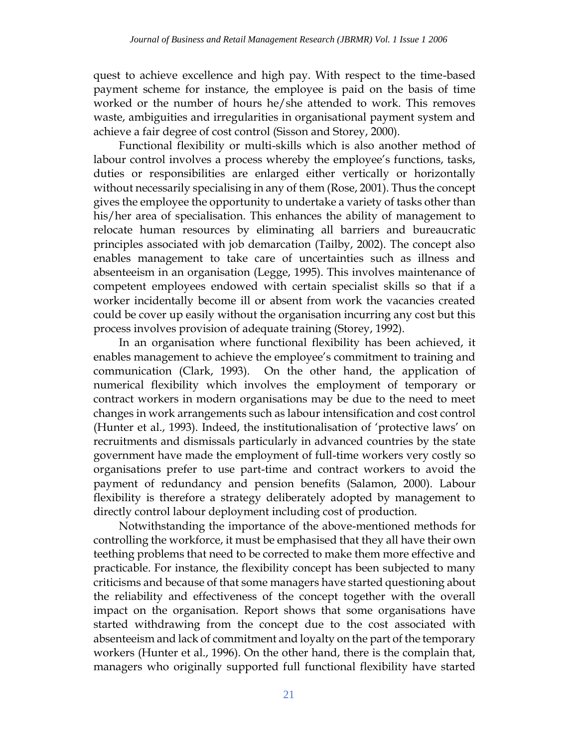quest to achieve excellence and high pay. With respect to the time-based payment scheme for instance, the employee is paid on the basis of time worked or the number of hours he/she attended to work. This removes waste, ambiguities and irregularities in organisational payment system and achieve a fair degree of cost control (Sisson and Storey, 2000).

Functional flexibility or multi-skills which is also another method of labour control involves a process whereby the employee's functions, tasks, duties or responsibilities are enlarged either vertically or horizontally without necessarily specialising in any of them (Rose, 2001). Thus the concept gives the employee the opportunity to undertake a variety of tasks other than his/her area of specialisation. This enhances the ability of management to relocate human resources by eliminating all barriers and bureaucratic principles associated with job demarcation (Tailby, 2002). The concept also enables management to take care of uncertainties such as illness and absenteeism in an organisation (Legge, 1995). This involves maintenance of competent employees endowed with certain specialist skills so that if a worker incidentally become ill or absent from work the vacancies created could be cover up easily without the organisation incurring any cost but this process involves provision of adequate training (Storey, 1992).

In an organisation where functional flexibility has been achieved, it enables management to achieve the employee's commitment to training and communication (Clark, 1993). On the other hand, the application of numerical flexibility which involves the employment of temporary or contract workers in modern organisations may be due to the need to meet changes in work arrangements such as labour intensification and cost control (Hunter et al., 1993). Indeed, the institutionalisation of 'protective laws' on recruitments and dismissals particularly in advanced countries by the state government have made the employment of full-time workers very costly so organisations prefer to use part-time and contract workers to avoid the payment of redundancy and pension benefits (Salamon, 2000). Labour flexibility is therefore a strategy deliberately adopted by management to directly control labour deployment including cost of production.

Notwithstanding the importance of the above-mentioned methods for controlling the workforce, it must be emphasised that they all have their own teething problems that need to be corrected to make them more effective and practicable. For instance, the flexibility concept has been subjected to many criticisms and because of that some managers have started questioning about the reliability and effectiveness of the concept together with the overall impact on the organisation. Report shows that some organisations have started withdrawing from the concept due to the cost associated with absenteeism and lack of commitment and loyalty on the part of the temporary workers (Hunter et al., 1996). On the other hand, there is the complain that, managers who originally supported full functional flexibility have started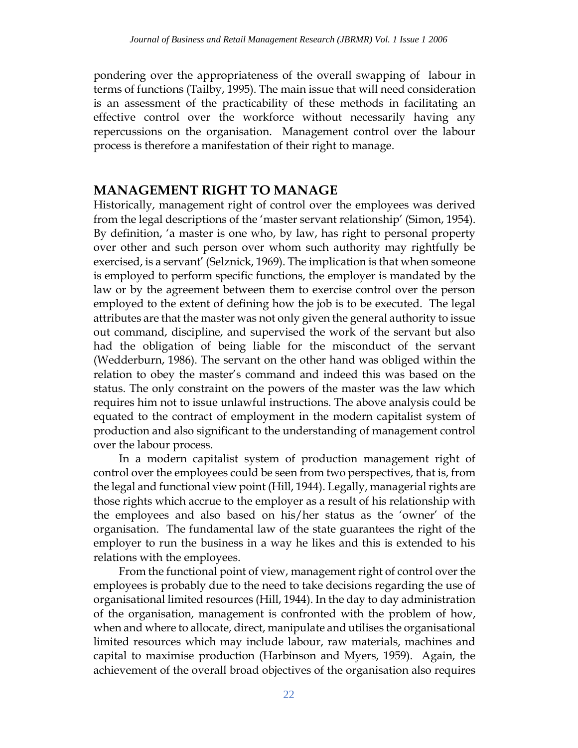pondering over the appropriateness of the overall swapping of labour in terms of functions (Tailby, 1995). The main issue that will need consideration is an assessment of the practicability of these methods in facilitating an effective control over the workforce without necessarily having any repercussions on the organisation. Management control over the labour process is therefore a manifestation of their right to manage.

### **MANAGEMENT RIGHT TO MANAGE**

Historically, management right of control over the employees was derived from the legal descriptions of the 'master servant relationship' (Simon, 1954). By definition, 'a master is one who, by law, has right to personal property over other and such person over whom such authority may rightfully be exercised, is a servant' (Selznick, 1969). The implication is that when someone is employed to perform specific functions, the employer is mandated by the law or by the agreement between them to exercise control over the person employed to the extent of defining how the job is to be executed. The legal attributes are that the master was not only given the general authority to issue out command, discipline, and supervised the work of the servant but also had the obligation of being liable for the misconduct of the servant (Wedderburn, 1986). The servant on the other hand was obliged within the relation to obey the master's command and indeed this was based on the status. The only constraint on the powers of the master was the law which requires him not to issue unlawful instructions. The above analysis could be equated to the contract of employment in the modern capitalist system of production and also significant to the understanding of management control over the labour process.

In a modern capitalist system of production management right of control over the employees could be seen from two perspectives, that is, from the legal and functional view point (Hill, 1944). Legally, managerial rights are those rights which accrue to the employer as a result of his relationship with the employees and also based on his/her status as the 'owner' of the organisation. The fundamental law of the state guarantees the right of the employer to run the business in a way he likes and this is extended to his relations with the employees.

From the functional point of view, management right of control over the employees is probably due to the need to take decisions regarding the use of organisational limited resources (Hill, 1944). In the day to day administration of the organisation, management is confronted with the problem of how, when and where to allocate, direct, manipulate and utilises the organisational limited resources which may include labour, raw materials, machines and capital to maximise production (Harbinson and Myers, 1959). Again, the achievement of the overall broad objectives of the organisation also requires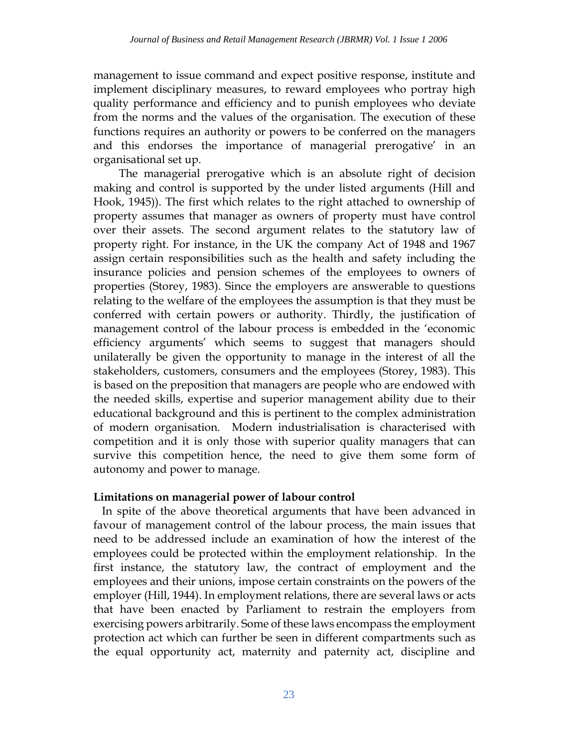management to issue command and expect positive response, institute and implement disciplinary measures, to reward employees who portray high quality performance and efficiency and to punish employees who deviate from the norms and the values of the organisation. The execution of these functions requires an authority or powers to be conferred on the managers and this endorses the importance of managerial prerogative' in an organisational set up.

The managerial prerogative which is an absolute right of decision making and control is supported by the under listed arguments (Hill and Hook, 1945)). The first which relates to the right attached to ownership of property assumes that manager as owners of property must have control over their assets. The second argument relates to the statutory law of property right. For instance, in the UK the company Act of 1948 and 1967 assign certain responsibilities such as the health and safety including the insurance policies and pension schemes of the employees to owners of properties (Storey, 1983). Since the employers are answerable to questions relating to the welfare of the employees the assumption is that they must be conferred with certain powers or authority. Thirdly, the justification of management control of the labour process is embedded in the 'economic efficiency arguments' which seems to suggest that managers should unilaterally be given the opportunity to manage in the interest of all the stakeholders, customers, consumers and the employees (Storey, 1983). This is based on the preposition that managers are people who are endowed with the needed skills, expertise and superior management ability due to their educational background and this is pertinent to the complex administration of modern organisation. Modern industrialisation is characterised with competition and it is only those with superior quality managers that can survive this competition hence, the need to give them some form of autonomy and power to manage.

### **Limitations on managerial power of labour control**

In spite of the above theoretical arguments that have been advanced in favour of management control of the labour process, the main issues that need to be addressed include an examination of how the interest of the employees could be protected within the employment relationship. In the first instance, the statutory law, the contract of employment and the employees and their unions, impose certain constraints on the powers of the employer (Hill, 1944). In employment relations, there are several laws or acts that have been enacted by Parliament to restrain the employers from exercising powers arbitrarily. Some of these laws encompass the employment protection act which can further be seen in different compartments such as the equal opportunity act, maternity and paternity act, discipline and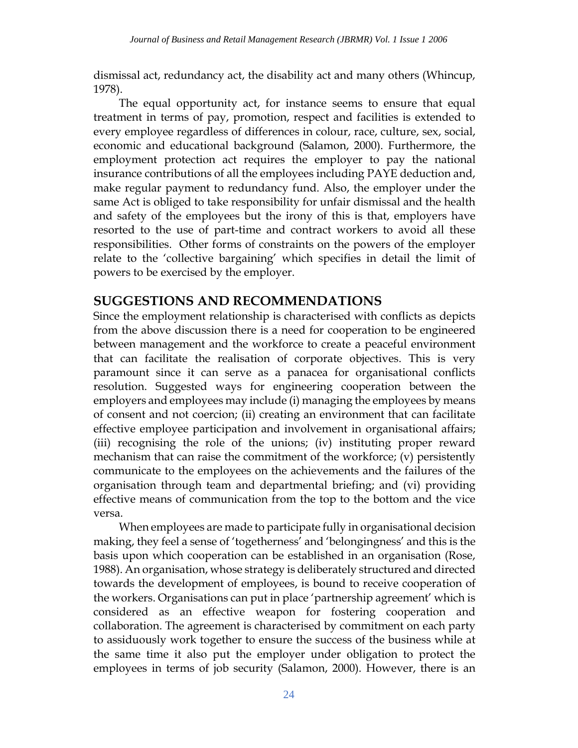dismissal act, redundancy act, the disability act and many others (Whincup, 1978).

The equal opportunity act, for instance seems to ensure that equal treatment in terms of pay, promotion, respect and facilities is extended to every employee regardless of differences in colour, race, culture, sex, social, economic and educational background (Salamon, 2000). Furthermore, the employment protection act requires the employer to pay the national insurance contributions of all the employees including PAYE deduction and, make regular payment to redundancy fund. Also, the employer under the same Act is obliged to take responsibility for unfair dismissal and the health and safety of the employees but the irony of this is that, employers have resorted to the use of part-time and contract workers to avoid all these responsibilities. Other forms of constraints on the powers of the employer relate to the 'collective bargaining' which specifies in detail the limit of powers to be exercised by the employer.

## **SUGGESTIONS AND RECOMMENDATIONS**

Since the employment relationship is characterised with conflicts as depicts from the above discussion there is a need for cooperation to be engineered between management and the workforce to create a peaceful environment that can facilitate the realisation of corporate objectives. This is very paramount since it can serve as a panacea for organisational conflicts resolution. Suggested ways for engineering cooperation between the employers and employees may include (i) managing the employees by means of consent and not coercion; (ii) creating an environment that can facilitate effective employee participation and involvement in organisational affairs; (iii) recognising the role of the unions; (iv) instituting proper reward mechanism that can raise the commitment of the workforce; (v) persistently communicate to the employees on the achievements and the failures of the organisation through team and departmental briefing; and (vi) providing effective means of communication from the top to the bottom and the vice versa.

When employees are made to participate fully in organisational decision making, they feel a sense of 'togetherness' and 'belongingness' and this is the basis upon which cooperation can be established in an organisation (Rose, 1988). An organisation, whose strategy is deliberately structured and directed towards the development of employees, is bound to receive cooperation of the workers. Organisations can put in place 'partnership agreement' which is considered as an effective weapon for fostering cooperation and collaboration. The agreement is characterised by commitment on each party to assiduously work together to ensure the success of the business while at the same time it also put the employer under obligation to protect the employees in terms of job security (Salamon, 2000). However, there is an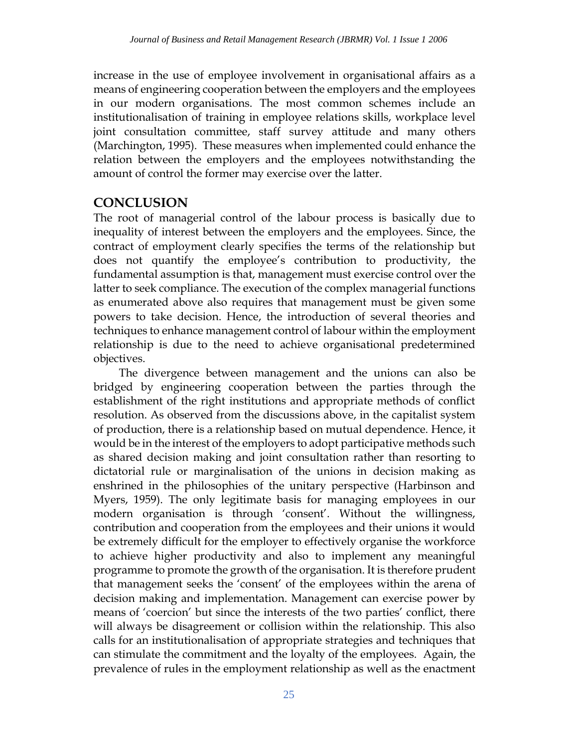increase in the use of employee involvement in organisational affairs as a means of engineering cooperation between the employers and the employees in our modern organisations. The most common schemes include an institutionalisation of training in employee relations skills, workplace level joint consultation committee, staff survey attitude and many others (Marchington, 1995). These measures when implemented could enhance the relation between the employers and the employees notwithstanding the amount of control the former may exercise over the latter.

### **CONCLUSION**

The root of managerial control of the labour process is basically due to inequality of interest between the employers and the employees. Since, the contract of employment clearly specifies the terms of the relationship but does not quantify the employee's contribution to productivity, the fundamental assumption is that, management must exercise control over the latter to seek compliance. The execution of the complex managerial functions as enumerated above also requires that management must be given some powers to take decision. Hence, the introduction of several theories and techniques to enhance management control of labour within the employment relationship is due to the need to achieve organisational predetermined objectives.

The divergence between management and the unions can also be bridged by engineering cooperation between the parties through the establishment of the right institutions and appropriate methods of conflict resolution. As observed from the discussions above, in the capitalist system of production, there is a relationship based on mutual dependence. Hence, it would be in the interest of the employers to adopt participative methods such as shared decision making and joint consultation rather than resorting to dictatorial rule or marginalisation of the unions in decision making as enshrined in the philosophies of the unitary perspective (Harbinson and Myers, 1959). The only legitimate basis for managing employees in our modern organisation is through 'consent'. Without the willingness, contribution and cooperation from the employees and their unions it would be extremely difficult for the employer to effectively organise the workforce to achieve higher productivity and also to implement any meaningful programme to promote the growth of the organisation. It is therefore prudent that management seeks the 'consent' of the employees within the arena of decision making and implementation. Management can exercise power by means of 'coercion' but since the interests of the two parties' conflict, there will always be disagreement or collision within the relationship. This also calls for an institutionalisation of appropriate strategies and techniques that can stimulate the commitment and the loyalty of the employees. Again, the prevalence of rules in the employment relationship as well as the enactment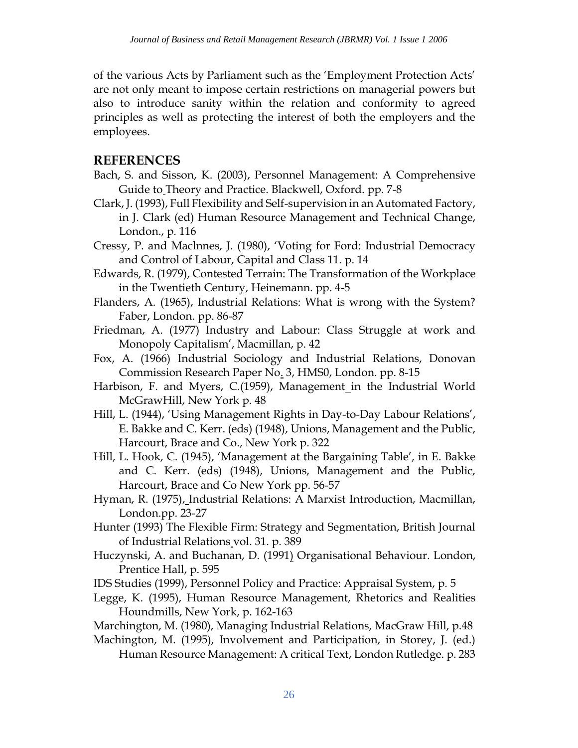of the various Acts by Parliament such as the 'Employment Protection Acts' are not only meant to impose certain restrictions on managerial powers but also to introduce sanity within the relation and conformity to agreed principles as well as protecting the interest of both the employers and the employees.

### **REFERENCES**

- Bach, S. and Sisson, K. (2003), Personnel Management: A Comprehensive Guide to Theory and Practice. Blackwell, Oxford. pp. 7-8
- Clark, J. (1993), Full Flexibility and Self-supervision in an Automated Factory, in J. Clark (ed) Human Resource Management and Technical Change, London., p. 116
- Cressy, P. and Maclnnes, J. (1980), 'Voting for Ford: Industrial Democracy and Control of Labour, Capital and Class 11. p. 14
- Edwards, R. (1979), Contested Terrain: The Transformation of the Workplace in the Twentieth Century, Heinemann. pp. 4-5
- Flanders, A. (1965), Industrial Relations: What is wrong with the System? Faber, London. pp. 86-87
- Friedman, A. (1977) Industry and Labour: Class Struggle at work and Monopoly Capitalism', Macmillan, p. 42
- Fox, A. (1966) Industrial Sociology and Industrial Relations, Donovan Commission Research Paper No. 3, HMS0, London. pp. 8-15
- Harbison, F. and Myers, C.(1959), Management in the Industrial World McGrawHill, New York p. 48
- Hill, L. (1944), 'Using Management Rights in Day-to-Day Labour Relations', E. Bakke and C. Kerr. (eds) (1948), Unions, Management and the Public, Harcourt, Brace and Co., New York p. 322
- Hill, L. Hook, C. (1945), 'Management at the Bargaining Table', in E. Bakke and C. Kerr. (eds) (1948), Unions, Management and the Public, Harcourt, Brace and Co New York pp. 56-57
- Hyman, R. (1975), Industrial Relations: A Marxist Introduction, Macmillan, London.pp. 23-27
- Hunter (1993) The Flexible Firm: Strategy and Segmentation, British Journal of Industrial Relations vol. 31. p. 389
- Huczynski, A. and Buchanan, D. (1991) Organisational Behaviour. London, Prentice Hall, p. 595
- IDS Studies (1999), Personnel Policy and Practice: Appraisal System, p. 5
- Legge, K. (1995), Human Resource Management, Rhetorics and Realities Houndmills, New York, p. 162-163
- Marchington, M. (1980), Managing Industrial Relations, MacGraw Hill, p.48
- Machington, M. (1995), Involvement and Participation, in Storey, J. (ed.)
	- Human Resource Management: A critical Text, London Rutledge. p. 283